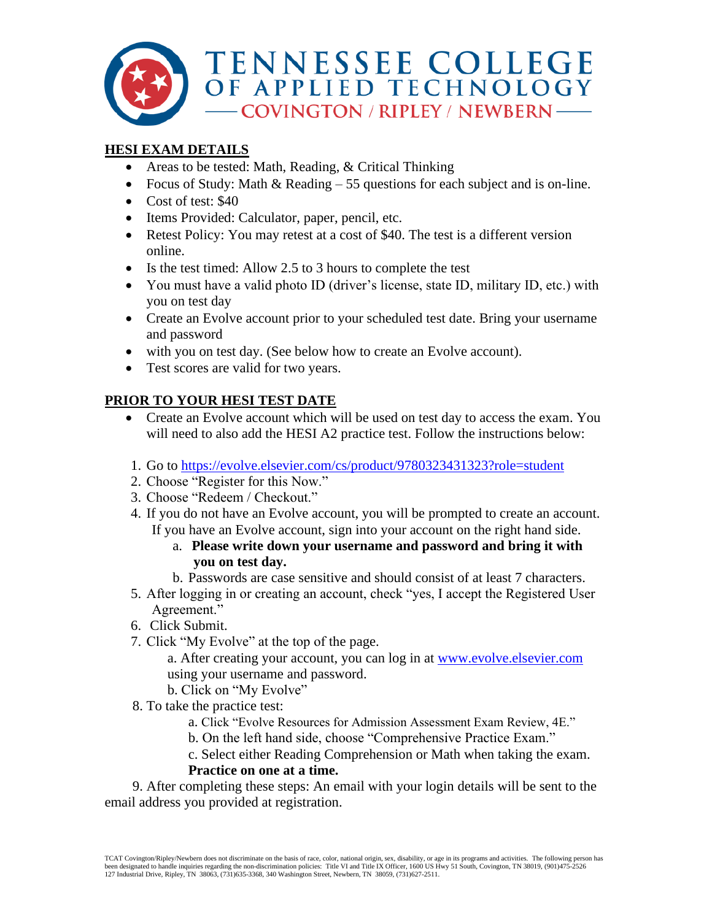

# **HESI EXAM DETAILS**

- Areas to be tested: Math, Reading, & Critical Thinking
- Focus of Study: Math & Reading 55 questions for each subject and is on-line.
- Cost of test: \$40
- Items Provided: Calculator, paper, pencil, etc.
- Retest Policy: You may retest at a cost of \$40. The test is a different version online.
- Is the test timed: Allow 2.5 to 3 hours to complete the test
- You must have a valid photo ID (driver's license, state ID, military ID, etc.) with you on test day
- Create an Evolve account prior to your scheduled test date. Bring your username and password
- with you on test day. (See below how to create an Evolve account).
- Test scores are valid for two years.

# **PRIOR TO YOUR HESI TEST DATE**

- Create an Evolve account which will be used on test day to access the exam. You will need to also add the HESI A2 practice test. Follow the instructions below:
- 1. Go to<https://evolve.elsevier.com/cs/product/9780323431323?role=student>
- 2. Choose "Register for this Now."
- 3. Choose "Redeem / Checkout."
- 4. If you do not have an Evolve account, you will be prompted to create an account. If you have an Evolve account, sign into your account on the right hand side.
	- a. **Please write down your username and password and bring it with you on test day.**
	- b. Passwords are case sensitive and should consist of at least 7 characters.
- 5. After logging in or creating an account, check "yes, I accept the Registered User Agreement."
- 6. Click Submit.
- 7. Click "My Evolve" at the top of the page.

a. After creating your account, you can log in at [www.evolve.elsevier.com](http://www.evolve.elsevier.com/) using your username and password.

- b. Click on "My Evolve"
- 8. To take the practice test:
	- a. Click "Evolve Resources for Admission Assessment Exam Review, 4E."
	- b. On the left hand side, choose "Comprehensive Practice Exam."
	- c. Select either Reading Comprehension or Math when taking the exam.

## **Practice on one at a time.**

 9. After completing these steps: An email with your login details will be sent to the email address you provided at registration.